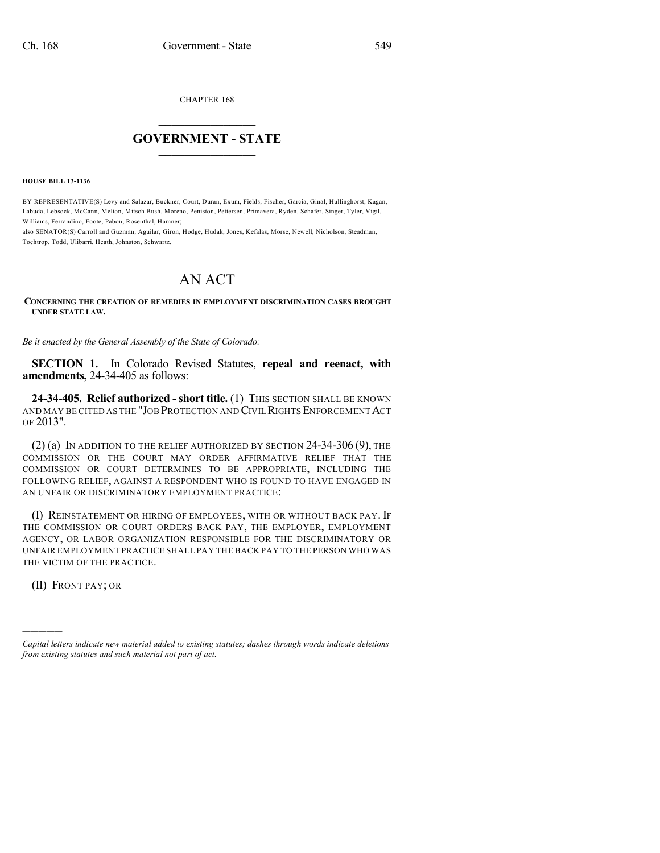CHAPTER 168

## $\overline{\phantom{a}}$  . The set of the set of the set of the set of the set of the set of the set of the set of the set of the set of the set of the set of the set of the set of the set of the set of the set of the set of the set o **GOVERNMENT - STATE**  $\_$

**HOUSE BILL 13-1136**

BY REPRESENTATIVE(S) Levy and Salazar, Buckner, Court, Duran, Exum, Fields, Fischer, Garcia, Ginal, Hullinghorst, Kagan, Labuda, Lebsock, McCann, Melton, Mitsch Bush, Moreno, Peniston, Pettersen, Primavera, Ryden, Schafer, Singer, Tyler, Vigil, Williams, Ferrandino, Foote, Pabon, Rosenthal, Hamner;

also SENATOR(S) Carroll and Guzman, Aguilar, Giron, Hodge, Hudak, Jones, Kefalas, Morse, Newell, Nicholson, Steadman, Tochtrop, Todd, Ulibarri, Heath, Johnston, Schwartz.

## AN ACT

**CONCERNING THE CREATION OF REMEDIES IN EMPLOYMENT DISCRIMINATION CASES BROUGHT UNDER STATE LAW.**

*Be it enacted by the General Assembly of the State of Colorado:*

**SECTION 1.** In Colorado Revised Statutes, **repeal and reenact, with amendments,** 24-34-405 as follows:

**24-34-405. Relief authorized -short title.** (1) THIS SECTION SHALL BE KNOWN AND MAY BE CITED AS THE "JOB PROTECTION AND CIVIL RIGHTS ENFORCEMENT ACT OF 2013".

(2) (a) IN ADDITION TO THE RELIEF AUTHORIZED BY SECTION 24-34-306 (9), THE COMMISSION OR THE COURT MAY ORDER AFFIRMATIVE RELIEF THAT THE COMMISSION OR COURT DETERMINES TO BE APPROPRIATE, INCLUDING THE FOLLOWING RELIEF, AGAINST A RESPONDENT WHO IS FOUND TO HAVE ENGAGED IN AN UNFAIR OR DISCRIMINATORY EMPLOYMENT PRACTICE:

(I) REINSTATEMENT OR HIRING OF EMPLOYEES, WITH OR WITHOUT BACK PAY. IF THE COMMISSION OR COURT ORDERS BACK PAY, THE EMPLOYER, EMPLOYMENT AGENCY, OR LABOR ORGANIZATION RESPONSIBLE FOR THE DISCRIMINATORY OR UNFAIR EMPLOYMENT PRACTICE SHALL PAY THE BACK PAY TO THE PERSON WHO WAS THE VICTIM OF THE PRACTICE.

(II) FRONT PAY; OR

)))))

*Capital letters indicate new material added to existing statutes; dashes through words indicate deletions from existing statutes and such material not part of act.*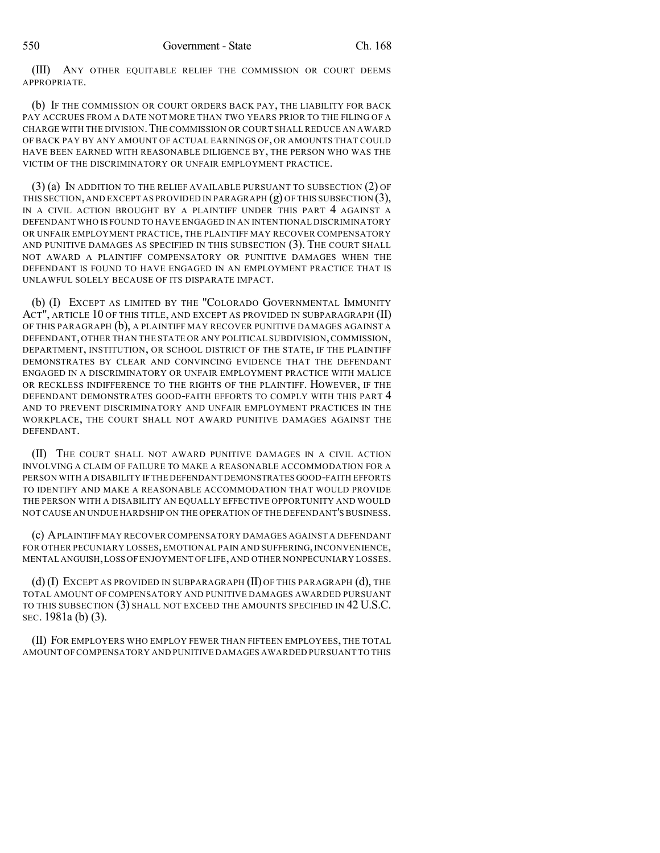(III) ANY OTHER EQUITABLE RELIEF THE COMMISSION OR COURT DEEMS APPROPRIATE.

(b) IF THE COMMISSION OR COURT ORDERS BACK PAY, THE LIABILITY FOR BACK PAY ACCRUES FROM A DATE NOT MORE THAN TWO YEARS PRIOR TO THE FILING OF A CHARGE WITH THE DIVISION.THE COMMISSION OR COURT SHALL REDUCE AN AWARD OF BACK PAY BY ANY AMOUNT OF ACTUAL EARNINGS OF, OR AMOUNTS THAT COULD HAVE BEEN EARNED WITH REASONABLE DILIGENCE BY, THE PERSON WHO WAS THE VICTIM OF THE DISCRIMINATORY OR UNFAIR EMPLOYMENT PRACTICE.

(3) (a) IN ADDITION TO THE RELIEF AVAILABLE PURSUANT TO SUBSECTION (2) OF THIS SECTION, AND EXCEPT AS PROVIDED IN PARAGRAPH  $(g)$  OF THIS SUBSECTION  $(3)$ , IN A CIVIL ACTION BROUGHT BY A PLAINTIFF UNDER THIS PART 4 AGAINST A DEFENDANT WHO IS FOUND TO HAVE ENGAGED IN AN INTENTIONAL DISCRIMINATORY OR UNFAIR EMPLOYMENT PRACTICE, THE PLAINTIFF MAY RECOVER COMPENSATORY AND PUNITIVE DAMAGES AS SPECIFIED IN THIS SUBSECTION (3). THE COURT SHALL NOT AWARD A PLAINTIFF COMPENSATORY OR PUNITIVE DAMAGES WHEN THE DEFENDANT IS FOUND TO HAVE ENGAGED IN AN EMPLOYMENT PRACTICE THAT IS UNLAWFUL SOLELY BECAUSE OF ITS DISPARATE IMPACT.

(b) (I) EXCEPT AS LIMITED BY THE "COLORADO GOVERNMENTAL IMMUNITY ACT", ARTICLE 10 OF THIS TITLE, AND EXCEPT AS PROVIDED IN SUBPARAGRAPH (II) OF THIS PARAGRAPH (b), A PLAINTIFF MAY RECOVER PUNITIVE DAMAGES AGAINST A DEFENDANT,OTHER THAN THE STATE OR ANY POLITICAL SUBDIVISION,COMMISSION, DEPARTMENT, INSTITUTION, OR SCHOOL DISTRICT OF THE STATE, IF THE PLAINTIFF DEMONSTRATES BY CLEAR AND CONVINCING EVIDENCE THAT THE DEFENDANT ENGAGED IN A DISCRIMINATORY OR UNFAIR EMPLOYMENT PRACTICE WITH MALICE OR RECKLESS INDIFFERENCE TO THE RIGHTS OF THE PLAINTIFF. HOWEVER, IF THE DEFENDANT DEMONSTRATES GOOD-FAITH EFFORTS TO COMPLY WITH THIS PART 4 AND TO PREVENT DISCRIMINATORY AND UNFAIR EMPLOYMENT PRACTICES IN THE WORKPLACE, THE COURT SHALL NOT AWARD PUNITIVE DAMAGES AGAINST THE DEFENDANT.

(II) THE COURT SHALL NOT AWARD PUNITIVE DAMAGES IN A CIVIL ACTION INVOLVING A CLAIM OF FAILURE TO MAKE A REASONABLE ACCOMMODATION FOR A PERSON WITH A DISABILITY IFTHE DEFENDANT DEMONSTRATES GOOD-FAITH EFFORTS TO IDENTIFY AND MAKE A REASONABLE ACCOMMODATION THAT WOULD PROVIDE THE PERSON WITH A DISABILITY AN EQUALLY EFFECTIVE OPPORTUNITY AND WOULD NOT CAUSE AN UNDUE HARDSHIP ON THE OPERATION OF THE DEFENDANT'S BUSINESS.

(c) APLAINTIFFMAY RECOVER COMPENSATORY DAMAGES AGAINST A DEFENDANT FOR OTHER PECUNIARY LOSSES,EMOTIONAL PAIN AND SUFFERING,INCONVENIENCE, MENTAL ANGUISH,LOSS OFENJOYMENT OF LIFE,AND OTHER NONPECUNIARY LOSSES.

(d) (I) EXCEPT AS PROVIDED IN SUBPARAGRAPH (II) OF THIS PARAGRAPH (d), THE TOTAL AMOUNT OF COMPENSATORY AND PUNITIVE DAMAGES AWARDED PURSUANT TO THIS SUBSECTION (3) SHALL NOT EXCEED THE AMOUNTS SPECIFIED IN 42 U.S.C. SEC. 1981a (b) (3).

(II) FOR EMPLOYERS WHO EMPLOY FEWER THAN FIFTEEN EMPLOYEES, THE TOTAL AMOUNT OF COMPENSATORY AND PUNITIVE DAMAGES AWARDED PURSUANT TO THIS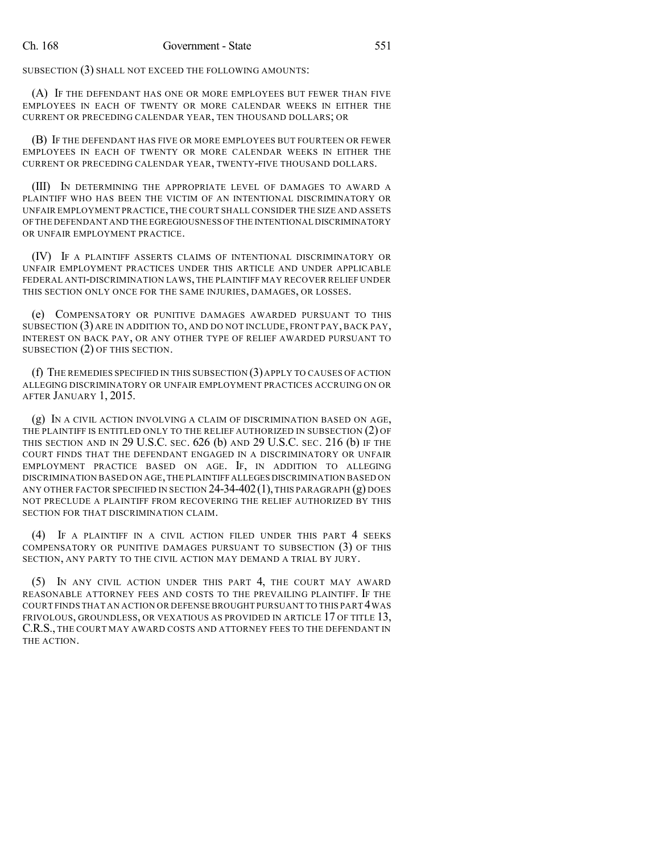SUBSECTION (3) SHALL NOT EXCEED THE FOLLOWING AMOUNTS:

(A) IF THE DEFENDANT HAS ONE OR MORE EMPLOYEES BUT FEWER THAN FIVE EMPLOYEES IN EACH OF TWENTY OR MORE CALENDAR WEEKS IN EITHER THE CURRENT OR PRECEDING CALENDAR YEAR, TEN THOUSAND DOLLARS; OR

(B) IF THE DEFENDANT HAS FIVE OR MORE EMPLOYEES BUT FOURTEEN OR FEWER EMPLOYEES IN EACH OF TWENTY OR MORE CALENDAR WEEKS IN EITHER THE CURRENT OR PRECEDING CALENDAR YEAR, TWENTY-FIVE THOUSAND DOLLARS.

(III) IN DETERMINING THE APPROPRIATE LEVEL OF DAMAGES TO AWARD A PLAINTIFF WHO HAS BEEN THE VICTIM OF AN INTENTIONAL DISCRIMINATORY OR UNFAIR EMPLOYMENT PRACTICE, THE COURT SHALL CONSIDER THE SIZE AND ASSETS OFTHE DEFENDANT AND THE EGREGIOUSNESS OF THE INTENTIONAL DISCRIMINATORY OR UNFAIR EMPLOYMENT PRACTICE.

(IV) IF A PLAINTIFF ASSERTS CLAIMS OF INTENTIONAL DISCRIMINATORY OR UNFAIR EMPLOYMENT PRACTICES UNDER THIS ARTICLE AND UNDER APPLICABLE FEDERAL ANTI-DISCRIMINATION LAWS, THE PLAINTIFF MAY RECOVER RELIEF UNDER THIS SECTION ONLY ONCE FOR THE SAME INJURIES, DAMAGES, OR LOSSES.

(e) COMPENSATORY OR PUNITIVE DAMAGES AWARDED PURSUANT TO THIS SUBSECTION (3) ARE IN ADDITION TO, AND DO NOT INCLUDE, FRONT PAY, BACK PAY, INTEREST ON BACK PAY, OR ANY OTHER TYPE OF RELIEF AWARDED PURSUANT TO SUBSECTION (2) OF THIS SECTION.

(f) THE REMEDIES SPECIFIED IN THIS SUBSECTION (3)APPLY TO CAUSES OF ACTION ALLEGING DISCRIMINATORY OR UNFAIR EMPLOYMENT PRACTICES ACCRUING ON OR AFTER JANUARY 1, 2015.

(g) IN A CIVIL ACTION INVOLVING A CLAIM OF DISCRIMINATION BASED ON AGE, THE PLAINTIFF IS ENTITLED ONLY TO THE RELIEF AUTHORIZED IN SUBSECTION (2) OF THIS SECTION AND IN  $29$  U.S.C. sec. 626 (b) and  $29$  U.S.C. sec. 216 (b) If the COURT FINDS THAT THE DEFENDANT ENGAGED IN A DISCRIMINATORY OR UNFAIR EMPLOYMENT PRACTICE BASED ON AGE. IF, IN ADDITION TO ALLEGING DISCRIMINATION BASED ON AGE,THE PLAINTIFF ALLEGES DISCRIMINATION BASED ON ANY OTHER FACTOR SPECIFIED IN SECTION 24-34-402(1),THIS PARAGRAPH (g) DOES NOT PRECLUDE A PLAINTIFF FROM RECOVERING THE RELIEF AUTHORIZED BY THIS SECTION FOR THAT DISCRIMINATION CLAIM.

(4) IF A PLAINTIFF IN A CIVIL ACTION FILED UNDER THIS PART 4 SEEKS COMPENSATORY OR PUNITIVE DAMAGES PURSUANT TO SUBSECTION (3) OF THIS SECTION, ANY PARTY TO THE CIVIL ACTION MAY DEMAND A TRIAL BY JURY.

(5) IN ANY CIVIL ACTION UNDER THIS PART 4, THE COURT MAY AWARD REASONABLE ATTORNEY FEES AND COSTS TO THE PREVAILING PLAINTIFF. IF THE COURT FINDS THAT AN ACTION OR DEFENSE BROUGHT PURSUANT TO THIS PART 4WAS FRIVOLOUS, GROUNDLESS, OR VEXATIOUS AS PROVIDED IN ARTICLE 17 OF TITLE 13, C.R.S., THE COURT MAY AWARD COSTS AND ATTORNEY FEES TO THE DEFENDANT IN THE ACTION.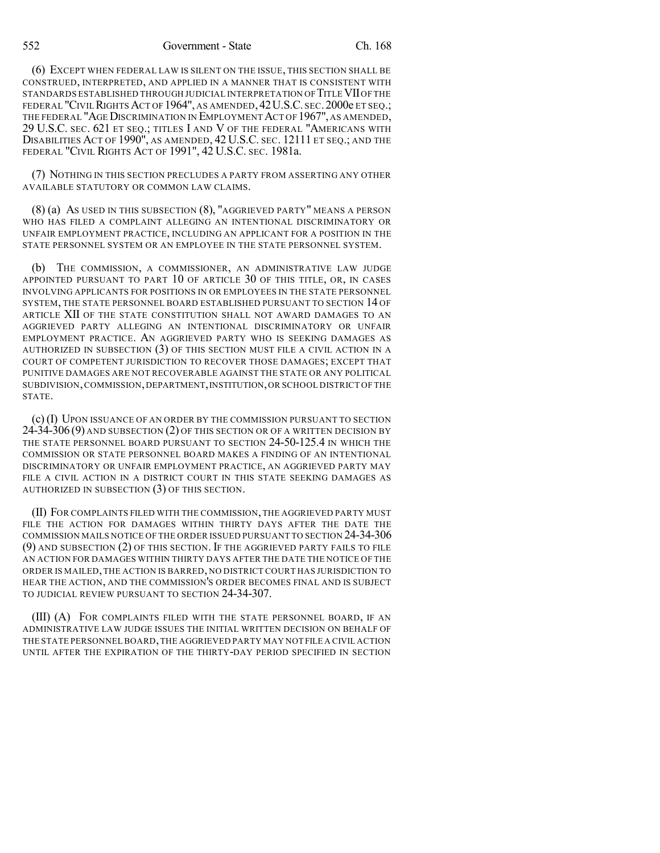552 Government - State Ch. 168

(6) EXCEPT WHEN FEDERAL LAW IS SILENT ON THE ISSUE, THIS SECTION SHALL BE CONSTRUED, INTERPRETED, AND APPLIED IN A MANNER THAT IS CONSISTENT WITH STANDARDS ESTABLISHED THROUGH JUDICIAL INTERPRETATION OF TITLE VII OF THE FEDERAL "CIVIL RIGHTS ACT OF 1964", AS AMENDED, 42 U.S.C. SEC. 2000e ET SEQ.; THE FEDERAL "AGE DISCRIMINATION IN EMPLOYMENT ACT OF 1967", AS AMENDED, 29 U.S.C. SEC. 621 ET SEQ.; TITLES I AND V OF THE FEDERAL "AMERICANS WITH DISABILITIES ACT OF 1990", AS AMENDED, 42 U.S.C. SEC. 12111 ET SEQ.; AND THE FEDERAL "CIVIL RIGHTS ACT OF 1991", 42 U.S.C. SEC. 1981a.

(7) NOTHING IN THIS SECTION PRECLUDES A PARTY FROM ASSERTING ANY OTHER AVAILABLE STATUTORY OR COMMON LAW CLAIMS.

(8) (a) AS USED IN THIS SUBSECTION (8), "AGGRIEVED PARTY" MEANS A PERSON WHO HAS FILED A COMPLAINT ALLEGING AN INTENTIONAL DISCRIMINATORY OR UNFAIR EMPLOYMENT PRACTICE, INCLUDING AN APPLICANT FOR A POSITION IN THE STATE PERSONNEL SYSTEM OR AN EMPLOYEE IN THE STATE PERSONNEL SYSTEM.

(b) THE COMMISSION, A COMMISSIONER, AN ADMINISTRATIVE LAW JUDGE APPOINTED PURSUANT TO PART 10 OF ARTICLE 30 OF THIS TITLE, OR, IN CASES INVOLVING APPLICANTS FOR POSITIONS IN OR EMPLOYEES IN THE STATE PERSONNEL SYSTEM, THE STATE PERSONNEL BOARD ESTABLISHED PURSUANT TO SECTION 14 OF ARTICLE XII OF THE STATE CONSTITUTION SHALL NOT AWARD DAMAGES TO AN AGGRIEVED PARTY ALLEGING AN INTENTIONAL DISCRIMINATORY OR UNFAIR EMPLOYMENT PRACTICE. AN AGGRIEVED PARTY WHO IS SEEKING DAMAGES AS AUTHORIZED IN SUBSECTION (3) OF THIS SECTION MUST FILE A CIVIL ACTION IN A COURT OF COMPETENT JURISDICTION TO RECOVER THOSE DAMAGES; EXCEPT THAT PUNITIVE DAMAGES ARE NOT RECOVERABLE AGAINST THE STATE OR ANY POLITICAL SUBDIVISION, COMMISSION, DEPARTMENT, INSTITUTION, OR SCHOOL DISTRICT OF THE STATE.

(c) (I) UPON ISSUANCE OF AN ORDER BY THE COMMISSION PURSUANT TO SECTION 24-34-306 (9) AND SUBSECTION (2) OF THIS SECTION OR OF A WRITTEN DECISION BY THE STATE PERSONNEL BOARD PURSUANT TO SECTION 24-50-125.4 IN WHICH THE COMMISSION OR STATE PERSONNEL BOARD MAKES A FINDING OF AN INTENTIONAL DISCRIMINATORY OR UNFAIR EMPLOYMENT PRACTICE, AN AGGRIEVED PARTY MAY FILE A CIVIL ACTION IN A DISTRICT COURT IN THIS STATE SEEKING DAMAGES AS AUTHORIZED IN SUBSECTION (3) OF THIS SECTION.

(II) FOR COMPLAINTS FILED WITH THE COMMISSION,THE AGGRIEVED PARTY MUST FILE THE ACTION FOR DAMAGES WITHIN THIRTY DAYS AFTER THE DATE THE COMMISSION MAILS NOTICE OF THE ORDER ISSUED PURSUANT TO SECTION 24-34-306 (9) AND SUBSECTION (2) OF THIS SECTION. IF THE AGGRIEVED PARTY FAILS TO FILE AN ACTION FOR DAMAGES WITHIN THIRTY DAYS AFTER THE DATE THE NOTICE OF THE ORDER IS MAILED,THE ACTION IS BARRED, NO DISTRICT COURT HAS JURISDICTION TO HEAR THE ACTION, AND THE COMMISSION'S ORDER BECOMES FINAL AND IS SUBJECT TO JUDICIAL REVIEW PURSUANT TO SECTION 24-34-307.

(III) (A) FOR COMPLAINTS FILED WITH THE STATE PERSONNEL BOARD, IF AN ADMINISTRATIVE LAW JUDGE ISSUES THE INITIAL WRITTEN DECISION ON BEHALF OF THE STATE PERSONNEL BOARD,THE AGGRIEVED PARTY MAY NOT FILE A CIVIL ACTION UNTIL AFTER THE EXPIRATION OF THE THIRTY-DAY PERIOD SPECIFIED IN SECTION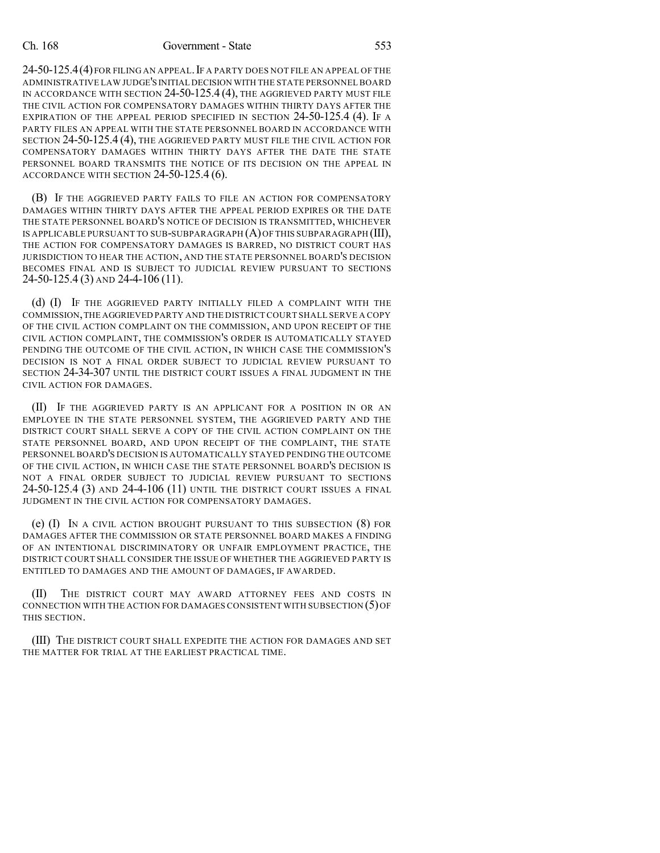24-50-125.4(4) FOR FILING AN APPEAL.IF A PARTY DOES NOT FILE AN APPEAL OF THE ADMINISTRATIVE LAW JUDGE'S INITIAL DECISION WITH THE STATE PERSONNEL BOARD IN ACCORDANCE WITH SECTION 24-50-125.4 (4), THE AGGRIEVED PARTY MUST FILE THE CIVIL ACTION FOR COMPENSATORY DAMAGES WITHIN THIRTY DAYS AFTER THE EXPIRATION OF THE APPEAL PERIOD SPECIFIED IN SECTION 24-50-125.4 (4). IF A PARTY FILES AN APPEAL WITH THE STATE PERSONNEL BOARD IN ACCORDANCE WITH SECTION 24-50-125.4 (4), THE AGGRIEVED PARTY MUST FILE THE CIVIL ACTION FOR COMPENSATORY DAMAGES WITHIN THIRTY DAYS AFTER THE DATE THE STATE PERSONNEL BOARD TRANSMITS THE NOTICE OF ITS DECISION ON THE APPEAL IN ACCORDANCE WITH SECTION 24-50-125.4 (6).

(B) IF THE AGGRIEVED PARTY FAILS TO FILE AN ACTION FOR COMPENSATORY DAMAGES WITHIN THIRTY DAYS AFTER THE APPEAL PERIOD EXPIRES OR THE DATE THE STATE PERSONNEL BOARD'S NOTICE OF DECISION IS TRANSMITTED, WHICHEVER IS APPLICABLE PURSUANT TO SUB-SUBPARAGRAPH (A)OF THIS SUBPARAGRAPH (III), THE ACTION FOR COMPENSATORY DAMAGES IS BARRED, NO DISTRICT COURT HAS JURISDICTION TO HEAR THE ACTION, AND THE STATE PERSONNEL BOARD'S DECISION BECOMES FINAL AND IS SUBJECT TO JUDICIAL REVIEW PURSUANT TO SECTIONS 24-50-125.4 (3) AND 24-4-106 (11).

(d) (I) IF THE AGGRIEVED PARTY INITIALLY FILED A COMPLAINT WITH THE COMMISSION,THE AGGRIEVED PARTY AND THE DISTRICT COURT SHALL SERVE A COPY OF THE CIVIL ACTION COMPLAINT ON THE COMMISSION, AND UPON RECEIPT OF THE CIVIL ACTION COMPLAINT, THE COMMISSION'S ORDER IS AUTOMATICALLY STAYED PENDING THE OUTCOME OF THE CIVIL ACTION, IN WHICH CASE THE COMMISSION'S DECISION IS NOT A FINAL ORDER SUBJECT TO JUDICIAL REVIEW PURSUANT TO SECTION 24-34-307 UNTIL THE DISTRICT COURT ISSUES A FINAL JUDGMENT IN THE CIVIL ACTION FOR DAMAGES.

(II) IF THE AGGRIEVED PARTY IS AN APPLICANT FOR A POSITION IN OR AN EMPLOYEE IN THE STATE PERSONNEL SYSTEM, THE AGGRIEVED PARTY AND THE DISTRICT COURT SHALL SERVE A COPY OF THE CIVIL ACTION COMPLAINT ON THE STATE PERSONNEL BOARD, AND UPON RECEIPT OF THE COMPLAINT, THE STATE PERSONNEL BOARD'S DECISION IS AUTOMATICALLY STAYED PENDING THE OUTCOME OF THE CIVIL ACTION, IN WHICH CASE THE STATE PERSONNEL BOARD'S DECISION IS NOT A FINAL ORDER SUBJECT TO JUDICIAL REVIEW PURSUANT TO SECTIONS 24-50-125.4 (3) AND 24-4-106 (11) UNTIL THE DISTRICT COURT ISSUES A FINAL JUDGMENT IN THE CIVIL ACTION FOR COMPENSATORY DAMAGES.

(e) (I) IN A CIVIL ACTION BROUGHT PURSUANT TO THIS SUBSECTION (8) FOR DAMAGES AFTER THE COMMISSION OR STATE PERSONNEL BOARD MAKES A FINDING OF AN INTENTIONAL DISCRIMINATORY OR UNFAIR EMPLOYMENT PRACTICE, THE DISTRICT COURT SHALL CONSIDER THE ISSUE OF WHETHER THE AGGRIEVED PARTY IS ENTITLED TO DAMAGES AND THE AMOUNT OF DAMAGES, IF AWARDED.

(II) THE DISTRICT COURT MAY AWARD ATTORNEY FEES AND COSTS IN CONNECTION WITH THE ACTION FOR DAMAGES CONSISTENT WITH SUBSECTION  $(5)$  OF THIS SECTION.

(III) THE DISTRICT COURT SHALL EXPEDITE THE ACTION FOR DAMAGES AND SET THE MATTER FOR TRIAL AT THE EARLIEST PRACTICAL TIME.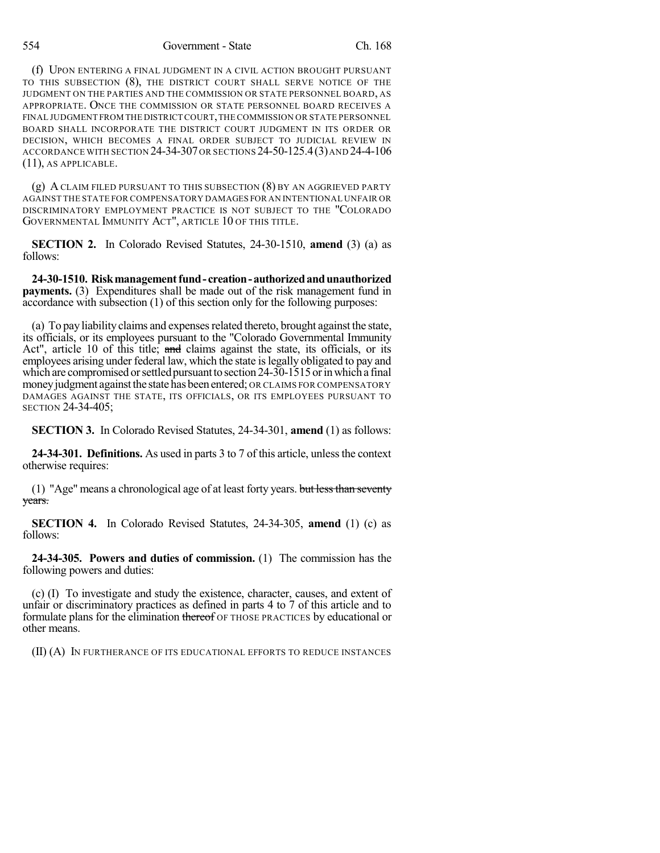554 Government - State Ch. 168

(f) UPON ENTERING A FINAL JUDGMENT IN A CIVIL ACTION BROUGHT PURSUANT TO THIS SUBSECTION (8), THE DISTRICT COURT SHALL SERVE NOTICE OF THE JUDGMENT ON THE PARTIES AND THE COMMISSION OR STATE PERSONNEL BOARD, AS APPROPRIATE. ONCE THE COMMISSION OR STATE PERSONNEL BOARD RECEIVES A FINAL JUDGMENT FROM THE DISTRICT COURT,THECOMMISSION OR STATE PERSONNEL BOARD SHALL INCORPORATE THE DISTRICT COURT JUDGMENT IN ITS ORDER OR DECISION, WHICH BECOMES A FINAL ORDER SUBJECT TO JUDICIAL REVIEW IN ACCORDANCE WITH SECTION 24-34-307OR SECTIONS 24-50-125.4(3)AND 24-4-106 (11), AS APPLICABLE.

(g) A CLAIM FILED PURSUANT TO THIS SUBSECTION (8) BY AN AGGRIEVED PARTY AGAINST THE STATE FOR COMPENSATORY DAMAGES FOR AN INTENTIONAL UNFAIR OR DISCRIMINATORY EMPLOYMENT PRACTICE IS NOT SUBJECT TO THE "COLORADO GOVERNMENTAL IMMUNITY ACT", ARTICLE 10 OF THIS TITLE.

**SECTION 2.** In Colorado Revised Statutes, 24-30-1510, **amend** (3) (a) as follows:

**24-30-1510. Riskmanagementfund- creation-authorizedandunauthorized payments.** (3) Expenditures shall be made out of the risk management fund in accordance with subsection (1) of this section only for the following purposes:

(a) To pay liability claims and expensesrelated thereto, brought against the state, its officials, or its employees pursuant to the "Colorado Governmental Immunity Act", article 10 of this title; and claims against the state, its officials, or its employees arising under federal law, which the state islegally obligated to pay and which are compromised or settled pursuant to section 24-30-1515 or in which a final money judgment against the state has been entered; OR CLAIMS FOR COMPENSATORY DAMAGES AGAINST THE STATE, ITS OFFICIALS, OR ITS EMPLOYEES PURSUANT TO SECTION 24-34-405;

**SECTION 3.** In Colorado Revised Statutes, 24-34-301, **amend** (1) as follows:

**24-34-301. Definitions.** As used in parts 3 to 7 of this article, unlessthe context otherwise requires:

(1) "Age" means a chronological age of at least forty years. but lessthan seventy years.

**SECTION 4.** In Colorado Revised Statutes, 24-34-305, **amend** (1) (c) as follows:

**24-34-305. Powers and duties of commission.** (1) The commission has the following powers and duties:

(c) (I) To investigate and study the existence, character, causes, and extent of unfair or discriminatory practices as defined in parts 4 to 7 of this article and to formulate plans for the elimination thereof OF THOSE PRACTICES by educational or other means.

(II) (A) IN FURTHERANCE OF ITS EDUCATIONAL EFFORTS TO REDUCE INSTANCES